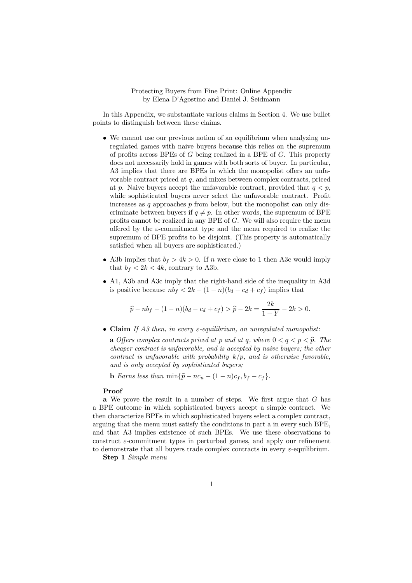## Protecting Buyers from Fine Print: Online Appendix by Elena D'Agostino and Daniel J. Seidmann

In this Appendix, we substantiate various claims in Section 4. We use bullet points to distinguish between these claims.

- We cannot use our previous notion of an equilibrium when analyzing unregulated games with naive buyers because this relies on the supremum of profits across BPEs of  $G$  being realized in a BPE of  $G$ . This property does not necessarily hold in games with both sorts of buyer. In particular, A3 implies that there are BPEs in which the monopolist offers an unfavorable contract priced at  $q$ , and mixes between complex contracts, priced at p. Naive buyers accept the unfavorable contract, provided that  $q < p$ , while sophisticated buyers never select the unfavorable contract. Profit increases as  $q$  approaches  $p$  from below, but the monopolist can only discriminate between buyers if  $q \neq p$ . In other words, the supremum of BPE profits cannot be realized in any BPE of  $G$ . We will also require the menu offered by the  $\varepsilon$ -commitment type and the menu required to realize the supremum of BPE profits to be disjoint. (This property is automatically satisfied when all buyers are sophisticated.)
- A3b implies that  $b_f > 4k > 0$ . If *n* were close to 1 then A3c would imply that  $b_f < 2k < 4k$ , contrary to A3b.
- A1, A3b and A3c imply that the right-hand side of the inequality in A3d is positive because  $nb_f < 2k - (1 - n)(b_d - c_d + c_f)$  implies that

$$
\widehat{p} - nb_f - (1 - n)(b_d - c_d + c_f) > \widehat{p} - 2k = \frac{2k}{1 - Y} - 2k > 0.
$$

 $\bullet$  **Claim** *If A3 then, in every*  $\varepsilon$ -equilibrium, an unregulated monopolist:

**a** *Offers complex contracts priced at*  $p$  *and at*  $q$ *, where*  $0 < q < p < \hat{p}$ *. The cheaper contract is unfavorable, and is accepted by naive buyers; the other contract is unfavorable with probability*  $k/p$ , and is otherwise favorable, *and is only accepted by sophisticated buyers;*

**b** *Earns less than*  $\min{\lbrace \hat{p} - nc_u - (1 - n)c_f, b_f - c_f \rbrace}$ .

## Proof

a We prove the result in a number of steps. We first argue that  $G$  has a BPE outcome in which sophisticated buyers accept a simple contract. We then characterize BPEs in which sophisticated buyers select a complex contract, arguing that the menu must satisfy the conditions in part a in every such BPE, and that A3 implies existence of such BPEs. We use these observations to construct  $\varepsilon$ -commitment types in perturbed games, and apply our refinement to demonstrate that all buyers trade complex contracts in every  $\varepsilon$ -equilibrium.

Step 1 *Simple menu*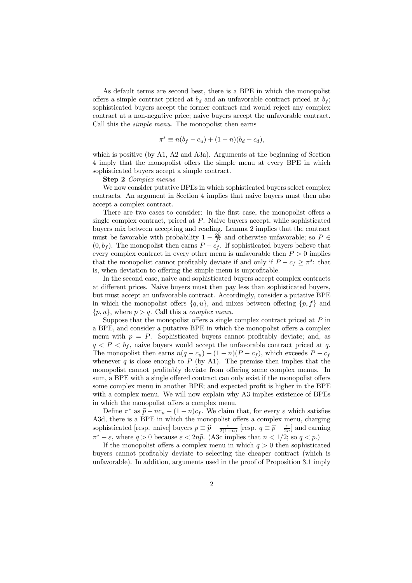As default terms are second best, there is a BPE in which the monopolist offers a simple contract priced at  $b_d$  and an unfavorable contract priced at  $b_f$ ; sophisticated buyers accept the former contract and would reject any complex contract at a non-negative price; naive buyers accept the unfavorable contract. Call this the *simple menu*. The monopolist then earns

$$
\pi^{s} \equiv n(b_f - c_u) + (1 - n)(b_d - c_d),
$$

which is positive (by A1, A2 and A3a). Arguments at the beginning of Section 4 imply that the monopolist offers the simple menu at every BPE in which sophisticated buyers accept a simple contract.

Step 2 *Complex menus*

We now consider putative BPEs in which sophisticated buyers select complex contracts. An argument in Section 4 implies that naive buyers must then also accept a complex contract.

There are two cases to consider: in the first case, the monopolist offers a single complex contract, priced at  $P$ . Naive buyers accept, while sophisticated buyers mix between accepting and reading. Lemma 2 implies that the contract must be favorable with probability  $1 - \frac{2k}{P}$  and otherwise unfavorable; so  $P \in$  $(0, b_f)$ . The monopolist then earns  $P - c_f$ . If sophisticated buyers believe that every complex contract in every other menu is unfavorable then  $P > 0$  implies that the monopolist cannot profitably deviate if and only if  $P - c_f \geq \pi^s$ : that is, when deviation to offering the simple menu is unprofitable.

In the second case, naive and sophisticated buyers accept complex contracts at different prices. Naive buyers must then pay less than sophisticated buyers, but must accept an unfavorable contract. Accordingly, consider a putative BPE in which the monopolist offers  $\{q, u\}$ , and mixes between offering  $\{p, f\}$  and  $\{p, u\}$ , where  $p > q$ . Call this a *complex menu*.

Suppose that the monopolist offers a single complex contract priced at  $P$  in a BPE, and consider a putative BPE in which the monopolist offers a complex menu with  $p = P$ . Sophisticated buyers cannot profitably deviate; and, as  $q < P < b_f$ , naive buyers would accept the unfavorable contract priced at q. The monopolist then earns  $n(q - c_u) + (1 - n)(P - c_f)$ , which exceeds  $P - c_f$ whenever  $q$  is close enough to  $P$  (by A1). The premise then implies that the monopolist cannot profitably deviate from offering some complex menus. In sum, a BPE with a single offered contract can only exist if the monopolist offers some complex menu in another BPE; and expected profit is higher in the BPE with a complex menu. We will now explain why A3 implies existence of BPEs in which the monopolist offers a complex menu.

Define  $\pi^*$  as  $\hat{p} - n c_u - (1 - n) c_f$ . We claim that, for every  $\varepsilon$  which satisfies A3d, there is a BPE in which the monopolist offers a complex menu, charging sophisticated [resp. naive] buyers  $p \equiv \hat{p} - \frac{\varepsilon}{2(1-n)}$  [resp.  $q \equiv \hat{p} - \frac{\varepsilon}{2n}$ ] and earning  $\pi^* - \varepsilon$ , where  $q > 0$  because  $\varepsilon < 2n\hat{p}$ . (A3c implies that  $n < 1/2$ ; so  $q < p$ .)

If the monopolist offers a complex menu in which  $q > 0$  then sophisticated buyers cannot profitably deviate to selecting the cheaper contract (which is unfavorable). In addition, arguments used in the proof of Proposition 3.1 imply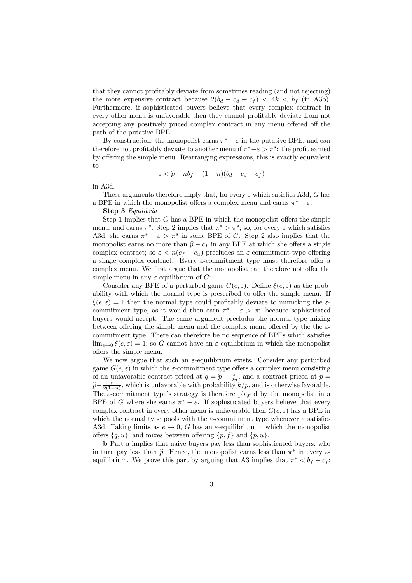that they cannot profitably deviate from sometimes reading (and not rejecting) the more expensive contract because  $2(b_d - c_d + c_f) < 4k < b_f$  (in A3b). Furthermore, if sophisticated buyers believe that every complex contract in every other menu is unfavorable then they cannot profitably deviate from not accepting any positively priced complex contract in any menu offered off the path of the putative BPE.

By construction, the monopolist earns  $\pi^* - \varepsilon$  in the putative BPE, and can therefore not profitably deviate to another menu if  $\pi^* - \varepsilon > \pi^s$ : the profit earned by offering the simple menu. Rearranging expressions, this is exactly equivalent to

$$
\varepsilon < \widehat{p} - nb_f - (1 - n)(b_d - c_d + c_f)
$$

in A3d.

These arguments therefore imply that, for every  $\varepsilon$  which satisfies A3d, G has a BPE in which the monopolist offers a complex menu and earns  $\pi^* - \varepsilon$ .

Step 3 *Equilibria*

Step 1 implies that  $G$  has a BPE in which the monopolist offers the simple menu, and earns  $\pi^s$ . Step 2 implies that  $\pi^* > \pi^s$ ; so, for every  $\varepsilon$  which satisfies A3d, she earns  $\pi^* - \varepsilon > \pi^s$  in some BPE of G. Step 2 also implies that the monopolist earns no more than  $\hat{p} - c_f$  in any BPE at which she offers a single complex contract; so  $\varepsilon < n(c_f - c_u)$  precludes an  $\varepsilon$ -commitment type offering a single complex contract. Every  $\varepsilon$ -commitment type must therefore offer a complex menu. We first argue that the monopolist can therefore not offer the simple menu in any  $\varepsilon$ -equilibrium of G:

Consider any BPE of a perturbed game  $G(e, \varepsilon)$ . Define  $\xi(e, \varepsilon)$  as the probability with which the normal type is prescribed to offer the simple menu. If  $\xi(e,\varepsilon) = 1$  then the normal type could profitably deviate to mimicking the  $\varepsilon$ commitment type, as it would then earn  $\pi^* - \varepsilon > \pi^s$  because sophisticated buyers would accept. The same argument precludes the normal type mixing between offering the simple menu and the complex menu offered by the the  $\varepsilon$ commitment type. There can therefore be no sequence of BPEs which satisfies  $\lim_{e\to 0} \xi(e,\varepsilon) = 1$ ; so G cannot have an  $\varepsilon$ -equilibrium in which the monopolist offers the simple menu.

We now argue that such an  $\varepsilon$ -equilibrium exists. Consider any perturbed game  $G(e, \varepsilon)$  in which the  $\varepsilon$ -commitment type offers a complex menu consisting of an unfavorable contract priced at  $q = \hat{p} - \frac{\varepsilon}{2n}$ , and a contract priced at  $p =$  $\hat{p} - \frac{\varepsilon}{2(1-n)}$ , which is unfavorable with probability  $k/p$ , and is otherwise favorable. The  $\varepsilon$ -commitment type's strategy is therefore played by the monopolist in a BPE of G where she earns  $\pi^* - \varepsilon$ . If sophisticated buyers believe that every complex contract in every other menu is unfavorable then  $G(e, \varepsilon)$  has a BPE in which the normal type pools with the  $\varepsilon$ -commitment type whenever  $\varepsilon$  satisfies A3d. Taking limits as  $e \to 0$ , G has an  $\varepsilon$ -equilibrium in which the monopolist offers  $\{q, u\}$ , and mixes between offering  $\{p, f\}$  and  $\{p, u\}$ .

b Part a implies that naive buyers pay less than sophisticated buyers, who in turn pay less than  $\hat{p}$ . Hence, the monopolist earns less than  $\pi^*$  in every  $\varepsilon$ equilibrium. We prove this part by arguing that A3 implies that  $\pi^* < b_f - c_f$ :